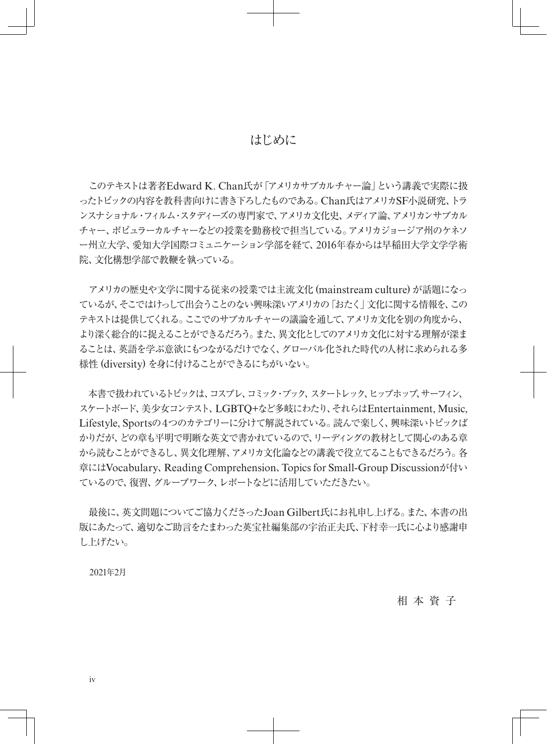#### はじめに

 このテキストは著者Edward K. Chan氏が「アメリカサブカルチャー論」という講義で実際に扱 ったトピックの内容を教科書向けに書き下ろしたものである。Chan氏はアメリカSF小説研究、トラ ンスナショナル・フィルム・スタディーズの専門家で、アメリカ文化史、メディア論、アメリカンサブカル チャー、ポピュラーカルチャーなどの授業を勤務校で担当している。アメリカジョージア州のケネソ ー州立大学、愛知大学国際コミュニケーション学部を経て、2016年春からは早稲田大学文学学術 院、文化構想学部で教鞭を執っている。

 アメリカの歴史や文学に関する従来の授業では主流文化 (mainstream culture) が話題になっ ているが、そこではけっして出会うことのない興味深いアメリカの「おたく」文化に関する情報を、この テキストは提供してくれる。ここでのサブカルチャーの議論を通して、アメリカ文化を別の角度から、 より深く総合的に捉えることができるだろう。また、異文化としてのアメリカ文化に対する理解が深ま ることは、英語を学ぶ意欲にもつながるだけでなく、グローバル化された時代の人材に求められる多 様性 (diversity) を身に付けることができるにちがいない。

 本書で扱われているトピックは、コスプレ、コミック・ブック、スタートレック、ヒップホップ、サーフィン、 スケートボード、美少女コンテスト、LGBTQ+など多岐にわたり、それらはEntertainment, Music, Lifestyle, Sportsの4つのカテゴリーに分けて解説されている。読んで楽しく、興味深いトピックば かりだが、どの章も平明で明晰な英文で書かれているので、リーディングの教材として関心のある章 から読むことができるし、異文化理解、アメリカ文化論などの講義で役立てることもできるだろう。各 章にはVocabulary、Reading Comprehension、Topics for Small-Group Discussionが付い ているので、復習、グループワーク、レポートなどに活用していただきたい。

 最後に、英文問題についてご協力くださったJoan Gilbert氏にお礼申し上げる。また、本書の出 版にあたって、適切なご助言をたまわった英宝社編集部の宇治正夫氏、下村幸一氏に心より感謝申 し上げたい。

2021年2月

相 本 資 子

iv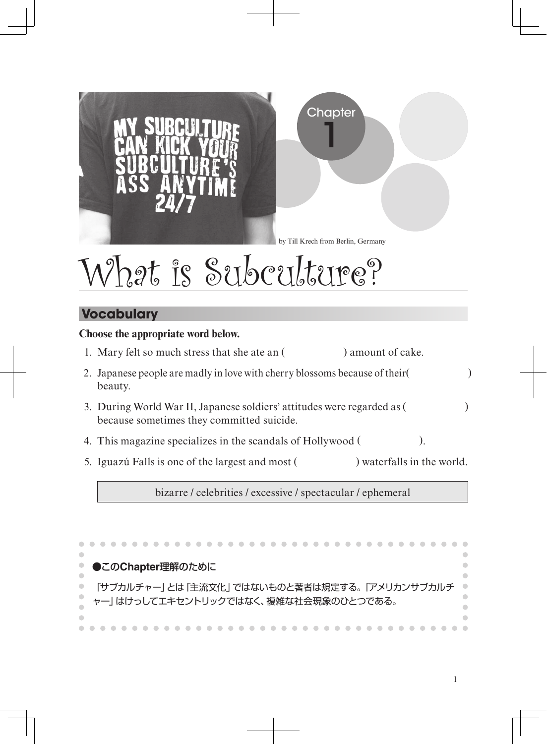

## **Vocabulary**

#### **Choose the appropriate word below.**

- 1. Mary felt so much stress that she ate an ( ) amount of cake.
- 2. Japanese people are madly in love with cherry blossoms because of their( ) beauty.
- 3. During World War II, Japanese soldiers' attitudes were regarded as ( ) because sometimes they committed suicide.
- 4. This magazine specializes in the scandals of Hollywood ( ).
- 5. Iguazú Falls is one of the largest and most () waterfalls in the world.

bizarre / celebrities / excessive / spectacular / ephemeral

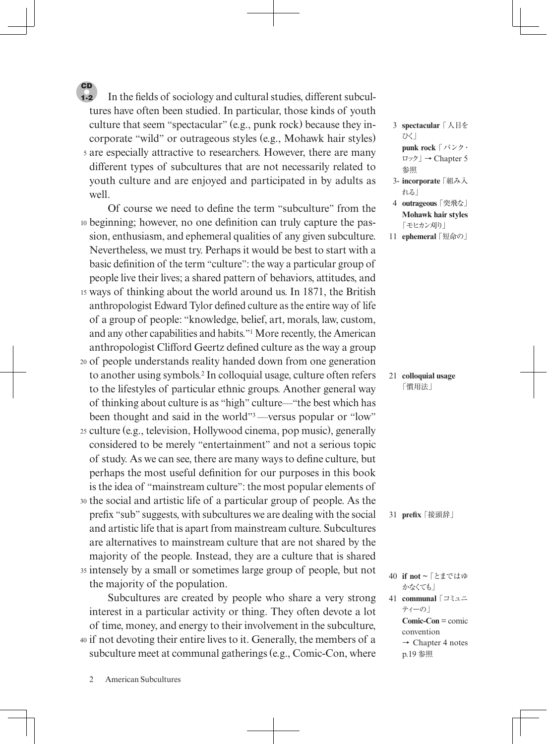5 are especially attractive to researchers. However, there are many In the fields of sociology and cultural studies, different subcultures have often been studied. In particular, those kinds of youth culture that seem "spectacular" (e.g., punk rock) because they incorporate "wild" or outrageous styles (e.g., Mohawk hair styles) different types of subcultures that are not necessarily related to youth culture and are enjoyed and participated in by adults as well. 1-2

**CD** 

10 beginning; however, no one denition can truly capture the pas-15 ways of thinking about the world around us. In 1871, the British 20 of people understands reality handed down from one generation 25 culture (e.g., television, Hollywood cinema, pop music), generally Of course we need to define the term "subculture" from the sion, enthusiasm, and ephemeral qualities of any given subculture. Nevertheless, we must try. Perhaps it would be best to start with a basic definition of the term "culture": the way a particular group of people live their lives; a shared pattern of behaviors, attitudes, and anthropologist Edward Tylor defined culture as the entire way of life of a group of people: "knowledge, belief, art, morals, law, custom, and any other capabilities and habits."1 More recently, the American anthropologist Clifford Geertz defined culture as the way a group to another using symbols.2 In colloquial usage, culture often refers to the lifestyles of particular ethnic groups. Another general way of thinking about culture is as "high" culture––"the best which has been thought and said in the world"<sup>3</sup>—versus popular or "low" considered to be merely "entertainment" and not a serious topic of study. As we can see, there are many ways to define culture, but perhaps the most useful definition for our purposes in this book is the idea of "mainstream culture": the most popular elements of

30 the social and artistic life of a particular group of people. As the 35 intensely by a small or sometimes large group of people, but not prefix "sub" suggests, with subcultures we are dealing with the social and artistic life that is apart from mainstream culture. Subcultures are alternatives to mainstream culture that are not shared by the majority of the people. Instead, they are a culture that is shared the majority of the population.

40 if not devoting their entire lives to it. Generally, the members of a Subcultures are created by people who share a very strong interest in a particular activity or thing. They often devote a lot of time, money, and energy to their involvement in the subculture, subculture meet at communal gatherings (e.g., Comic-Con, where

 3 **spectacular**「人目を ひく」 **punk rock**「パンク・ ロック」→ Chapter 5 参照

- 3- **incorporate**「組み入 れる」
- 4 **outrageous**「突飛な」 **Mohawk hair styles** 「モヒカン刈り」

21 **colloquial usage** 「慣用法」

31 **prex**「接頭辞」

41 **communal**「コミュニ ティーの」 **Comic-Con** = comic convention  $\rightarrow$  Chapter 4 notes

p.19 参照

2 American Subcultures

<sup>11</sup> **ephemeral**「短命の」

<sup>40</sup> **if not** ~ 「とまではゆ かなくても」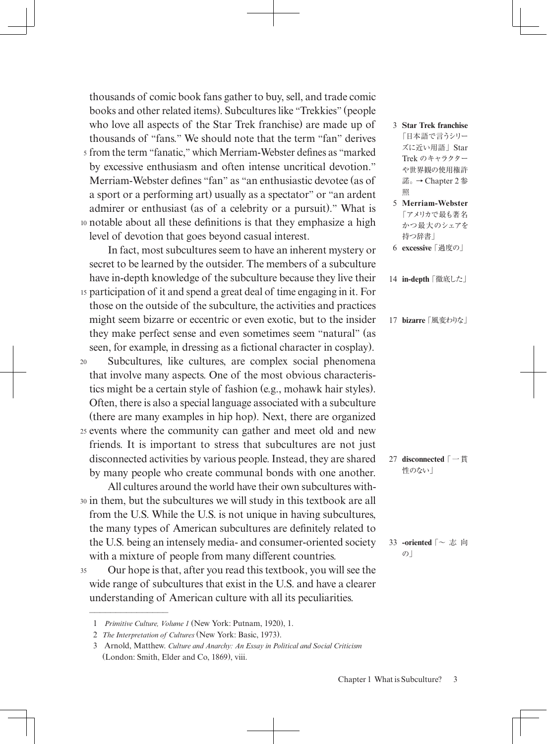s from the term "fanatic," which Merriam-Webster defines as "marked 10 notable about all these definitions is that they emphasize a high thousands of comic book fans gather to buy, sell, and trade comic books and other related items). Subcultures like "Trekkies" (people who love all aspects of the Star Trek franchise) are made up of thousands of "fans." We should note that the term "fan" derives by excessive enthusiasm and often intense uncritical devotion." Merriam-Webster defines "fan" as "an enthusiastic devotee (as of a sport or a performing art) usually as a spectator" or "an ardent admirer or enthusiast (as of a celebrity or a pursuit)." What is level of devotion that goes beyond casual interest.

15 participation of it and spend a great deal of time engaging in it. For In fact, most subcultures seem to have an inherent mystery or secret to be learned by the outsider. The members of a subculture have in-depth knowledge of the subculture because they live their those on the outside of the subculture, the activities and practices might seem bizarre or eccentric or even exotic, but to the insider

they make perfect sense and even sometimes seem "natural" (as

20 25 events where the community can gather and meet old and new seen, for example, in dressing as a fictional character in cosplay). Subcultures, like cultures, are complex social phenomena that involve many aspects. One of the most obvious characteristics might be a certain style of fashion (e.g., mohawk hair styles). Often, there is also a special language associated with a subculture (there are many examples in hip hop). Next, there are organized friends. It is important to stress that subcultures are not just disconnected activities by various people. Instead, they are shared by many people who create communal bonds with one another.

30 in them, but the subcultures we will study in this textbook are all All cultures around the world have their own subcultures withfrom the U.S. While the U.S. is not unique in having subcultures, the many types of American subcultures are definitely related to the U.S. being an intensely media- and consumer-oriented society with a mixture of people from many different countries.

35 Our hope is that, after you read this textbook, you will see the wide range of subcultures that exist in the U.S. and have a clearer understanding of American culture with all its peculiarities.

 $\frac{1}{\sqrt{2}}$ 

- 3 **Star Trek franchise**  「日本語で言うシリー ズに近い用語」Star Trek のキャラクター や世界観の使用権許 諾。→ Chapter 2 参 照
- 5 **Merriam-Webster** 「アメリカで最も著名 かつ最大のシェアを 持つ辞書」
- 6 **excessive**「過度の」
- 14 **in-depth**「徹底した」
- 17 **bizarre**「風変わりな」

27 **disconnected**「一貫 性のない」

33 **-oriented**  $\lceil \sim \exists \exists$  向  $\mathcal{O}$ 

 <sup>1</sup> *Primitive Culture, Volume 1* (New York: Putnam, 1920), 1.

 <sup>2</sup> *The Interpretation of Cultures* (New York: Basic, 1973).

 <sup>3</sup> Arnold, Matthew. *Culture and Anarchy: An Essay in Political and Social Criticism* (London: Smith, Elder and Co, 1869), viii.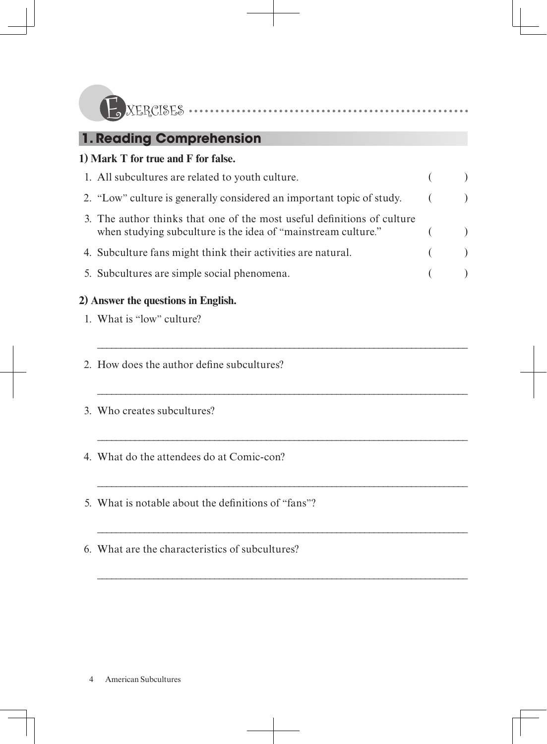| <b>J</b> XERCISES |  |
|-------------------|--|
|                   |  |

# **1. Reading Comprehension**

### **1) Mark T for true and F for false.**

| 1. All subcultures are related to youth culture.                                                                                         |            |  |
|------------------------------------------------------------------------------------------------------------------------------------------|------------|--|
| 2. "Low" culture is generally considered an important topic of study.                                                                    | $\sqrt{2}$ |  |
| 3. The author thinks that one of the most useful definitions of culture<br>when studying subculture is the idea of "mainstream culture." |            |  |
| 4. Subculture fans might think their activities are natural.                                                                             |            |  |
| 5. Subcultures are simple social phenomena.                                                                                              |            |  |

\_\_\_\_\_\_\_\_\_\_\_\_\_\_\_\_\_\_\_\_\_\_\_\_\_\_\_\_\_\_\_\_\_\_\_\_\_\_\_\_\_\_\_\_\_\_\_\_\_\_\_\_\_\_\_\_\_\_\_\_\_\_\_\_\_\_\_\_\_\_\_\_\_\_\_\_\_\_\_

\_\_\_\_\_\_\_\_\_\_\_\_\_\_\_\_\_\_\_\_\_\_\_\_\_\_\_\_\_\_\_\_\_\_\_\_\_\_\_\_\_\_\_\_\_\_\_\_\_\_\_\_\_\_\_\_\_\_\_\_\_\_\_\_\_\_\_\_\_\_\_\_\_\_\_\_\_\_\_

\_\_\_\_\_\_\_\_\_\_\_\_\_\_\_\_\_\_\_\_\_\_\_\_\_\_\_\_\_\_\_\_\_\_\_\_\_\_\_\_\_\_\_\_\_\_\_\_\_\_\_\_\_\_\_\_\_\_\_\_\_\_\_\_\_\_\_\_\_\_\_\_\_\_\_\_\_\_\_

\_\_\_\_\_\_\_\_\_\_\_\_\_\_\_\_\_\_\_\_\_\_\_\_\_\_\_\_\_\_\_\_\_\_\_\_\_\_\_\_\_\_\_\_\_\_\_\_\_\_\_\_\_\_\_\_\_\_\_\_\_\_\_\_\_\_\_\_\_\_\_\_\_\_\_\_\_\_\_

\_\_\_\_\_\_\_\_\_\_\_\_\_\_\_\_\_\_\_\_\_\_\_\_\_\_\_\_\_\_\_\_\_\_\_\_\_\_\_\_\_\_\_\_\_\_\_\_\_\_\_\_\_\_\_\_\_\_\_\_\_\_\_\_\_\_\_\_\_\_\_\_\_\_\_\_\_\_\_

\_\_\_\_\_\_\_\_\_\_\_\_\_\_\_\_\_\_\_\_\_\_\_\_\_\_\_\_\_\_\_\_\_\_\_\_\_\_\_\_\_\_\_\_\_\_\_\_\_\_\_\_\_\_\_\_\_\_\_\_\_\_\_\_\_\_\_\_\_\_\_\_\_\_\_\_\_\_\_

## **2) Answer the questions in English.**

- 1. What is "low" culture?
- 2. How does the author define subcultures?
- 3. Who creates subcultures?
- 4. What do the attendees do at Comic-con?
- 5. What is notable about the definitions of "fans"?
- 6. What are the characteristics of subcultures?

4 American Subcultures